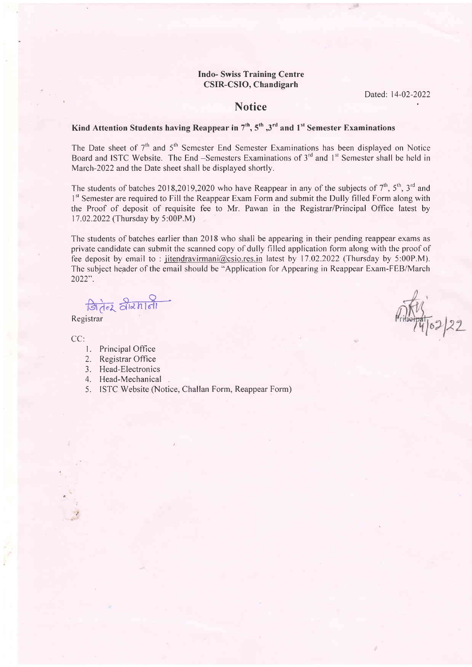#### Indo- Swiss Training Centre CSIR-CSIO, Chandigarh

Dated: 14-02-2022

 $\frac{1}{2}$ 

### **Notice**

## Kind Attention Students having Reappear in  $7<sup>th</sup>$ ,  $5<sup>th</sup>$ ,  $3<sup>rd</sup>$  and  $1<sup>st</sup>$  Semester Examinations

The Date sheet of  $7<sup>th</sup>$  and  $5<sup>th</sup>$  Semester End Semester Examinations has been displayed on Notice Board and ISTC Website. The End -Semesters Examinations of  $3<sup>rd</sup>$  and  $1<sup>st</sup>$  Semester shall be held in March-2022 and the Date sheet shall be displayed shortly.

The students of batches 2018,2019,2020 who have Reappear in any of the subjects of  $7<sup>th</sup>$ ,  $5<sup>th</sup>$ ,  $3<sup>rd</sup>$  and <sup>1st</sup> Semester are required to Fill the Reappear Exam Form and submit the Dully filled Form along with the Proof of deposit of requisite fee to Mr. Pawan in the Registrar/Principal Office latest by 11.02.2022 (Thursday by 5:00P.M)

The students of batches earlier than 2018 who shall be appearing in their pending reappear exams as private candidate can submit the scanned copy of dully filled application form along with the proof of fee deposit by email to : jitendravirmani@csio.res.in latest by 17.02.2022 (Thursday by 5:00P.M). The subject header of the email should be "Application for Appearing in Reappear Exam-FEB/March 2022".

<u>मितंबर</u> वीरमाली

Registrar

CC:

- l. Principal Office
- 2. Registrar Office
- 3. Head-Electronics
- 4. Head-Mechanical
- 5. ISTC Website (Notice, Challan Form, Reappear Form)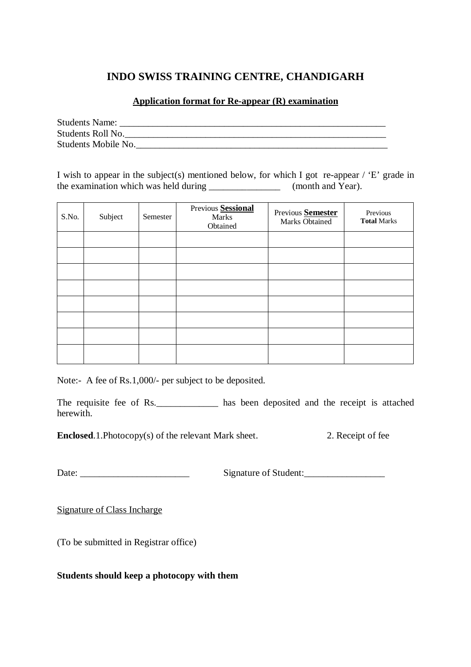# **INDO SWISS TRAINING CENTRE, CHANDIGARH**

## **Application format for Re-appear (R) examination**

| <b>Students Name:</b> |  |  |
|-----------------------|--|--|
| Students Roll No.     |  |  |
| Students Mobile No.   |  |  |

I wish to appear in the subject(s) mentioned below, for which I got re-appear / 'E' grade in the examination which was held during  $(month and Year)$ .

| S.No. | Subject | Semester | Previous Sessional<br>Marks<br>Obtained | Previous Semester<br>Marks Obtained | Previous<br><b>Total Marks</b> |
|-------|---------|----------|-----------------------------------------|-------------------------------------|--------------------------------|
|       |         |          |                                         |                                     |                                |
|       |         |          |                                         |                                     |                                |
|       |         |          |                                         |                                     |                                |
|       |         |          |                                         |                                     |                                |
|       |         |          |                                         |                                     |                                |
|       |         |          |                                         |                                     |                                |
|       |         |          |                                         |                                     |                                |
|       |         |          |                                         |                                     |                                |

Note:- A fee of Rs.1,000/- per subject to be deposited.

The requisite fee of Rs. \_\_\_\_\_\_\_\_\_\_\_\_\_\_ has been deposited and the receipt is attached herewith.

**Enclosed.1.Photocopy(s) of the relevant Mark sheet.** 2. Receipt of fee

Date: Signature of Student:

Signature of Class Incharge

(To be submitted in Registrar office)

## **Students should keep a photocopy with them**